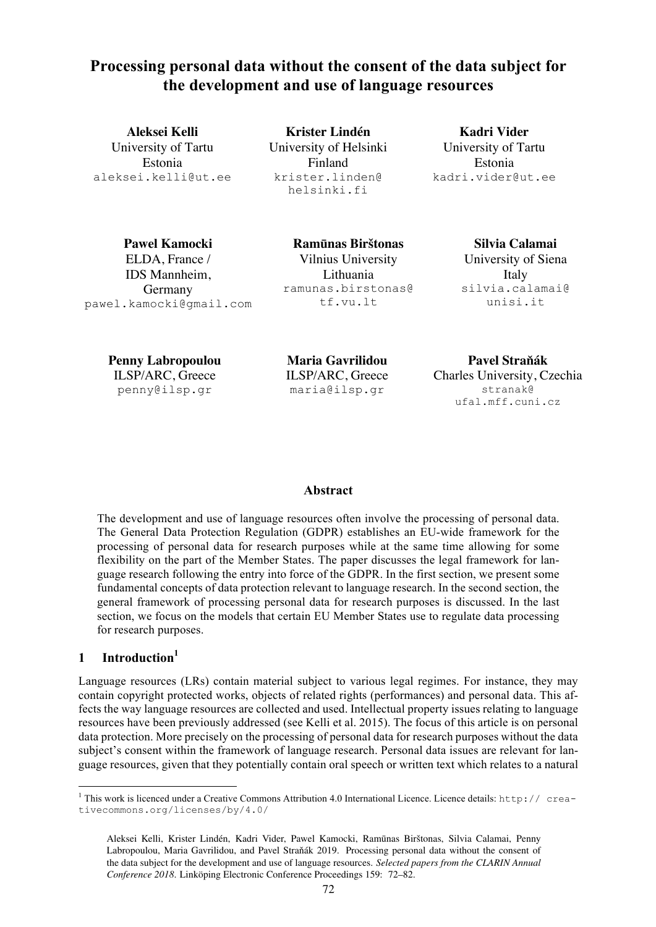# **Processing personal data without the consent of the data subject for the development and use of language resources**

**Aleksei Kelli** University of Tartu Estonia aleksei.kelli@ut.ee

**Krister Lindén** University of Helsinki Finland krister.linden@ helsinki.fi

**Kadri Vider** University of Tartu Estonia kadri.vider@ut.ee

**Pawel Kamocki** ELDA, France / IDS Mannheim, Germany pawel.kamocki@gmail.com

**Ramūnas Birštonas** Vilnius University Lithuania ramunas.birstonas@ tf.vu.lt

**Silvia Calamai** University of Siena Italy silvia.calamai@ unisi.it

**Penny Labropoulou** ILSP/ARC, Greece penny@ilsp.gr

**Maria Gavrilidou** ILSP/ARC, Greece maria@ilsp.gr

**Pavel Straňák** Charles University, Czechia stranak@ ufal.mff.cuni.cz

#### **Abstract**

The development and use of language resources often involve the processing of personal data. The General Data Protection Regulation (GDPR) establishes an EU-wide framework for the processing of personal data for research purposes while at the same time allowing for some flexibility on the part of the Member States. The paper discusses the legal framework for language research following the entry into force of the GDPR. In the first section, we present some fundamental concepts of data protection relevant to language research. In the second section, the general framework of processing personal data for research purposes is discussed. In the last section, we focus on the models that certain EU Member States use to regulate data processing for research purposes.

# 1 **Introduction**<sup>1</sup>

Language resources (LRs) contain material subject to various legal regimes. For instance, they may contain copyright protected works, objects of related rights (performances) and personal data. This affects the way language resources are collected and used. Intellectual property issues relating to language resources have been previously addressed (see Kelli et al. 2015). The focus of this article is on personal data protection. More precisely on the processing of personal data for research purposes without the data subject's consent within the framework of language research. Personal data issues are relevant for language resources, given that they potentially contain oral speech or written text which relates to a natural

<sup>&</sup>lt;sup>1</sup> This work is licenced under a Creative Commons Attribution 4.0 International Licence. Licence details: http:// creativecommons.org/licenses/by/4.0/

Aleksei Kelli, Krister Lindén, Kadri Vider, Pawel Kamocki, Ramūnas Birštonas, Silvia Calamai, Penny Labropoulou, Maria Gavrilidou, and Pavel Straňák 2019. Processing personal data without the consent of the data subject for the development and use of language resources. *Selected papers from the CLARIN Annual Conference 2018*. Linköping Electronic Conference Proceedings 159: 72–82.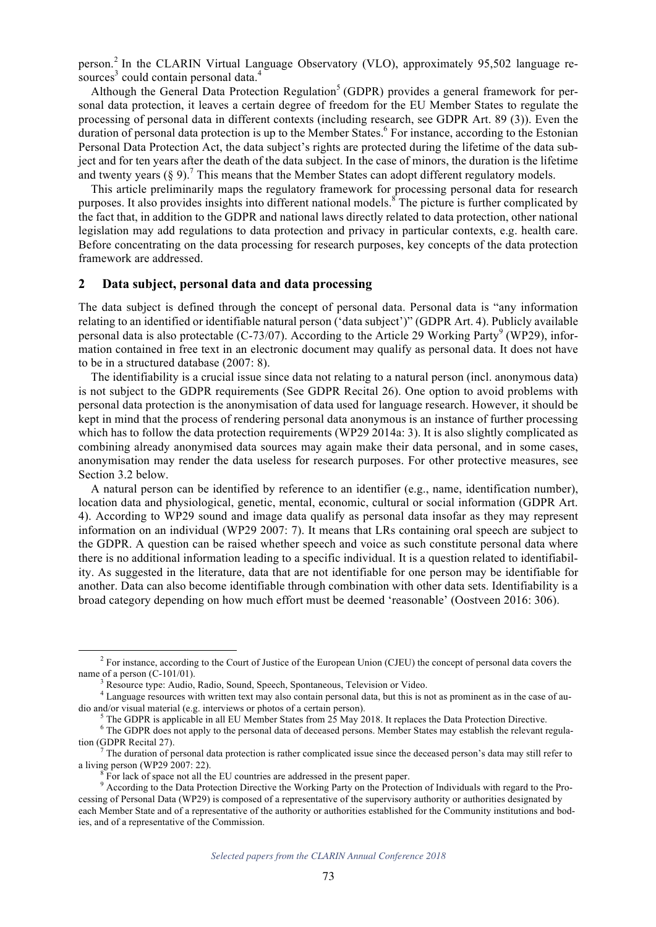person. <sup>2</sup> In the CLARIN Virtual Language Observatory (VLO), approximately 95,502 language resources<sup>3</sup> could contain personal data.<sup>4</sup>

Although the General Data Protection Regulation<sup>5</sup> (GDPR) provides a general framework for personal data protection, it leaves a certain degree of freedom for the EU Member States to regulate the processing of personal data in different contexts (including research, see GDPR Art. 89 (3)). Even the duration of personal data protection is up to the Member States.<sup>6</sup> For instance, according to the Estonian Personal Data Protection Act, the data subject's rights are protected during the lifetime of the data subject and for ten years after the death of the data subject. In the case of minors, the duration is the lifetime and twenty years  $(\S 9)$ .<sup>7</sup> This means that the Member States can adopt different regulatory models.

This article preliminarily maps the regulatory framework for processing personal data for research purposes. It also provides insights into different national models.<sup>8</sup> The picture is further complicated by the fact that, in addition to the GDPR and national laws directly related to data protection, other national legislation may add regulations to data protection and privacy in particular contexts, e.g. health care. Before concentrating on the data processing for research purposes, key concepts of the data protection framework are addressed.

#### **2 Data subject, personal data and data processing**

The data subject is defined through the concept of personal data. Personal data is "any information relating to an identified or identifiable natural person ('data subject')" (GDPR Art. 4). Publicly available personal data is also protectable (C-73/07). According to the Article 29 Working Party<sup>9</sup> (WP29), information contained in free text in an electronic document may qualify as personal data. It does not have to be in a structured database (2007: 8).

The identifiability is a crucial issue since data not relating to a natural person (incl. anonymous data) is not subject to the GDPR requirements (See GDPR Recital 26). One option to avoid problems with personal data protection is the anonymisation of data used for language research. However, it should be kept in mind that the process of rendering personal data anonymous is an instance of further processing which has to follow the data protection requirements (WP29 2014a: 3). It is also slightly complicated as combining already anonymised data sources may again make their data personal, and in some cases, anonymisation may render the data useless for research purposes. For other protective measures, see Section 3.2 below.

A natural person can be identified by reference to an identifier (e.g., name, identification number), location data and physiological, genetic, mental, economic, cultural or social information (GDPR Art. 4). According to WP29 sound and image data qualify as personal data insofar as they may represent information on an individual (WP29 2007: 7). It means that LRs containing oral speech are subject to the GDPR. A question can be raised whether speech and voice as such constitute personal data where there is no additional information leading to a specific individual. It is a question related to identifiability. As suggested in the literature, data that are not identifiable for one person may be identifiable for another. Data can also become identifiable through combination with other data sets. Identifiability is a broad category depending on how much effort must be deemed 'reasonable' (Oostveen 2016: 306).

*Selected papers from the CLARIN Annual Conference 2018*

<sup>&</sup>lt;sup>2</sup> For instance, according to the Court of Justice of the European Union (CJEU) the concept of personal data covers the name of a person  $(C-101/01)$ .<br><sup>3</sup> Resource type: Audio, Radio, Sound, Speech, Spontaneous, Television or Video.<br><sup>4</sup> Language resources with written text may also contain personal data, but this is not as prominent as in t

dio and/or visual material (e.g. interviews or photos of a certain person).<br><sup>5</sup> The GDPR is applicable in all EU Member States from 25 May 2018. It replaces the Data Protection Directive.

<sup>&</sup>lt;sup>6</sup> The GDPR does not apply to the personal data of deceased persons. Member States may establish the relevant regulation (GDPR Recital 27).<br><sup>7</sup> The duration of personal data protection is rather complicated issue since the deceased person's data may still refer to

a living person (WP29 2007: 22). <sup>8</sup> For lack of space not all the EU countries are addressed in the present paper.

<sup>&</sup>lt;sup>9</sup> According to the Data Protection Directive the Working Party on the Protection of Individuals with regard to the Processing of Personal Data (WP29) is composed of a representative of the supervisory authority or authorities designated by each Member State and of a representative of the authority or authorities established for the Community institutions and bodies, and of a representative of the Commission.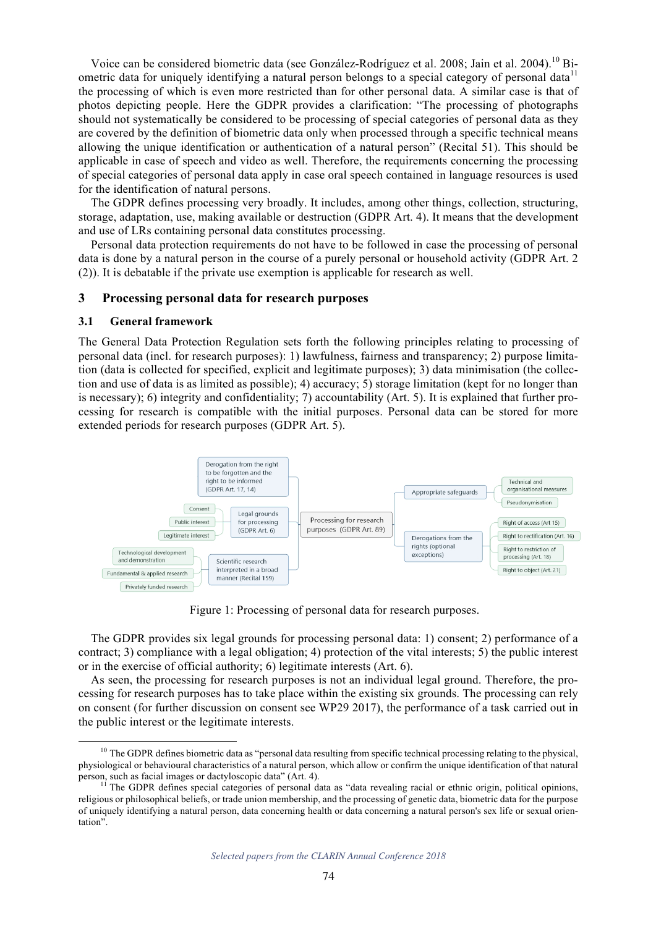Voice can be considered biometric data (see González-Rodríguez et al. 2008; Jain et al. 2004).<sup>10</sup> Biometric data for uniquely identifying a natural person belongs to a special category of personal data<sup>11</sup> the processing of which is even more restricted than for other personal data. A similar case is that of photos depicting people. Here the GDPR provides a clarification: "The processing of photographs should not systematically be considered to be processing of special categories of personal data as they are covered by the definition of biometric data only when processed through a specific technical means allowing the unique identification or authentication of a natural person" (Recital 51). This should be applicable in case of speech and video as well. Therefore, the requirements concerning the processing of special categories of personal data apply in case oral speech contained in language resources is used for the identification of natural persons.

The GDPR defines processing very broadly. It includes, among other things, collection, structuring, storage, adaptation, use, making available or destruction (GDPR Art. 4). It means that the development and use of LRs containing personal data constitutes processing.

Personal data protection requirements do not have to be followed in case the processing of personal data is done by a natural person in the course of a purely personal or household activity (GDPR Art. 2 (2)). It is debatable if the private use exemption is applicable for research as well.

#### **3 Processing personal data for research purposes**

#### **3.1 General framework**

The General Data Protection Regulation sets forth the following principles relating to processing of personal data (incl. for research purposes): 1) lawfulness, fairness and transparency; 2) purpose limitation (data is collected for specified, explicit and legitimate purposes); 3) data minimisation (the collection and use of data is as limited as possible); 4) accuracy; 5) storage limitation (kept for no longer than is necessary); 6) integrity and confidentiality; 7) accountability (Art. 5). It is explained that further processing for research is compatible with the initial purposes. Personal data can be stored for more extended periods for research purposes (GDPR Art. 5).



Figure 1: Processing of personal data for research purposes.

The GDPR provides six legal grounds for processing personal data: 1) consent; 2) performance of a contract; 3) compliance with a legal obligation; 4) protection of the vital interests; 5) the public interest or in the exercise of official authority; 6) legitimate interests (Art. 6).

As seen, the processing for research purposes is not an individual legal ground. Therefore, the processing for research purposes has to take place within the existing six grounds. The processing can rely on consent (for further discussion on consent see WP29 2017), the performance of a task carried out in the public interest or the legitimate interests.

<sup>&</sup>lt;sup>10</sup> The GDPR defines biometric data as "personal data resulting from specific technical processing relating to the physical, physiological or behavioural characteristics of a natural person, which allow or confirm the unique identification of that natural person, such as facial images or dactyloscopic data"  $(Art. 4)$ .

<sup>&</sup>lt;sup>11</sup> The GDPR defines special categories of personal data as "data revealing racial or ethnic origin, political opinions, religious or philosophical beliefs, or trade union membership, and the processing of genetic data, biometric data for the purpose of uniquely identifying a natural person, data concerning health or data concerning a natural person's sex life or sexual orientation".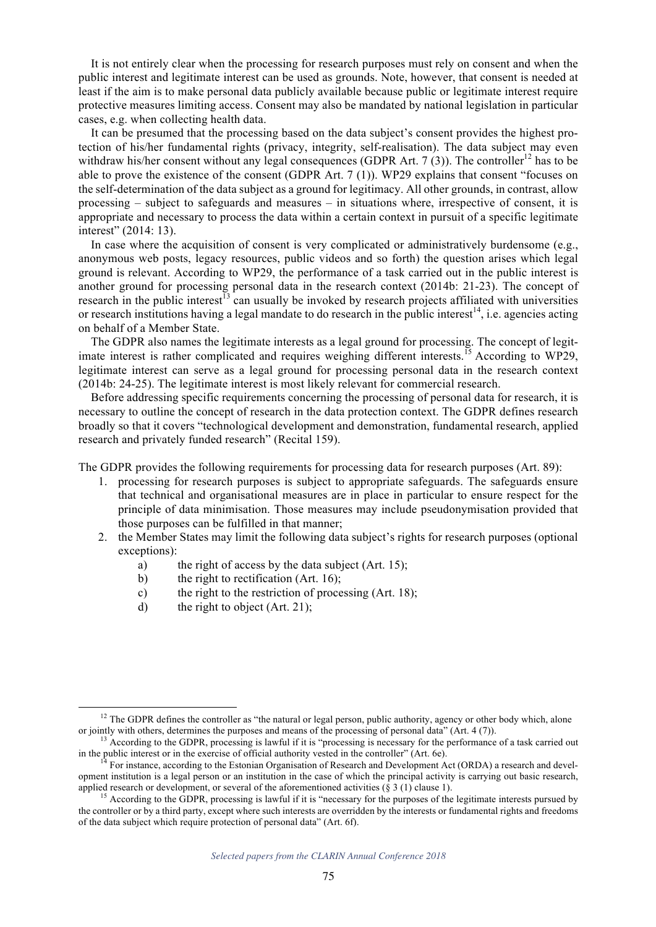It is not entirely clear when the processing for research purposes must rely on consent and when the public interest and legitimate interest can be used as grounds. Note, however, that consent is needed at least if the aim is to make personal data publicly available because public or legitimate interest require protective measures limiting access. Consent may also be mandated by national legislation in particular cases, e.g. when collecting health data.

It can be presumed that the processing based on the data subject's consent provides the highest protection of his/her fundamental rights (privacy, integrity, self-realisation). The data subject may even withdraw his/her consent without any legal consequences (GDPR Art.  $7(3)$ ). The controller<sup>12</sup> has to be able to prove the existence of the consent (GDPR Art. 7 (1)). WP29 explains that consent "focuses on the self-determination of the data subject as a ground for legitimacy. All other grounds, in contrast, allow processing – subject to safeguards and measures – in situations where, irrespective of consent, it is appropriate and necessary to process the data within a certain context in pursuit of a specific legitimate interest" (2014: 13).

In case where the acquisition of consent is very complicated or administratively burdensome (e.g., anonymous web posts, legacy resources, public videos and so forth) the question arises which legal ground is relevant. According to WP29, the performance of a task carried out in the public interest is another ground for processing personal data in the research context (2014b: 21-23). The concept of research in the public interest<sup>13</sup> can usually be invoked by research projects affiliated with universities or research institutions having a legal mandate to do research in the public interest<sup>14</sup>, i.e. agencies acting on behalf of a Member State.

The GDPR also names the legitimate interests as a legal ground for processing. The concept of legitimate interest is rather complicated and requires weighing different interests.<sup>15</sup> According to WP29, legitimate interest can serve as a legal ground for processing personal data in the research context (2014b: 24-25). The legitimate interest is most likely relevant for commercial research.

Before addressing specific requirements concerning the processing of personal data for research, it is necessary to outline the concept of research in the data protection context. The GDPR defines research broadly so that it covers "technological development and demonstration, fundamental research, applied research and privately funded research" (Recital 159).

The GDPR provides the following requirements for processing data for research purposes (Art. 89):

- 1. processing for research purposes is subject to appropriate safeguards. The safeguards ensure that technical and organisational measures are in place in particular to ensure respect for the principle of data minimisation. Those measures may include pseudonymisation provided that those purposes can be fulfilled in that manner;
- 2. the Member States may limit the following data subject's rights for research purposes (optional exceptions):
	- a) the right of access by the data subject (Art. 15);
	- b) the right to rectification (Art. 16);
	- c) the right to the restriction of processing (Art. 18);
	- d) the right to object (Art. 21);

 $12$  The GDPR defines the controller as "the natural or legal person, public authority, agency or other body which, alone

or jointly with others, determines the purposes and means of the processing of personal data" (Art. 4 (7)).<br><sup>13</sup> According to the GDPR, processing is lawful if it is "processing is necessary for the performance of a task

For instance, according to the Estonian Organisation of Research and Development Act (ORDA) a research and development institution is a legal person or an institution in the case of which the principal activity is carrying out basic research, applied research or development, or several of the aforementioned activities  $(\S 3 (1))$  clause 1).

<sup>&</sup>lt;sup>15</sup> According to the GDPR, processing is lawful if it is "necessary for the purposes of the legitimate interests pursued by the controller or by a third party, except where such interests are overridden by the interests or fundamental rights and freedoms of the data subject which require protection of personal data" (Art. 6f).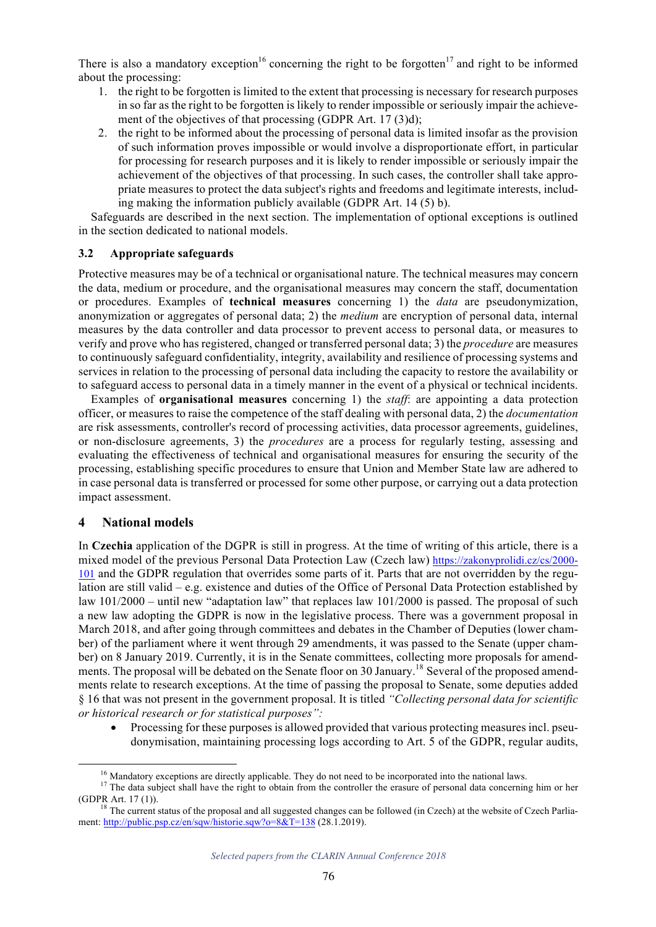There is also a mandatory exception<sup>16</sup> concerning the right to be forgotten<sup>17</sup> and right to be informed about the processing:

- 1. the right to be forgotten is limited to the extent that processing is necessary for research purposes in so far as the right to be forgotten is likely to render impossible or seriously impair the achievement of the objectives of that processing (GDPR Art. 17 (3)d);
- 2. the right to be informed about the processing of personal data is limited insofar as the provision of such information proves impossible or would involve a disproportionate effort, in particular for processing for research purposes and it is likely to render impossible or seriously impair the achievement of the objectives of that processing. In such cases, the controller shall take appropriate measures to protect the data subject's rights and freedoms and legitimate interests, including making the information publicly available (GDPR Art. 14 (5) b).

Safeguards are described in the next section. The implementation of optional exceptions is outlined in the section dedicated to national models.

### **3.2 Appropriate safeguards**

Protective measures may be of a technical or organisational nature. The technical measures may concern the data, medium or procedure, and the organisational measures may concern the staff, documentation or procedures. Examples of **technical measures** concerning 1) the *data* are pseudonymization, anonymization or aggregates of personal data; 2) the *medium* are encryption of personal data, internal measures by the data controller and data processor to prevent access to personal data, or measures to verify and prove who has registered, changed or transferred personal data; 3) the *procedure* are measures to continuously safeguard confidentiality, integrity, availability and resilience of processing systems and services in relation to the processing of personal data including the capacity to restore the availability or to safeguard access to personal data in a timely manner in the event of a physical or technical incidents.

Examples of **organisational measures** concerning 1) the *staff*: are appointing a data protection officer, or measures to raise the competence of the staff dealing with personal data, 2) the *documentation* are risk assessments, controller's record of processing activities, data processor agreements, guidelines, or non-disclosure agreements, 3) the *procedures* are a process for regularly testing, assessing and evaluating the effectiveness of technical and organisational measures for ensuring the security of the processing, establishing specific procedures to ensure that Union and Member State law are adhered to in case personal data is transferred or processed for some other purpose, or carrying out a data protection impact assessment.

# **4 National models**

In **Czechia** application of the DGPR is still in progress. At the time of writing of this article, there is a mixed model of the previous Personal Data Protection Law (Czech law) https://zakonyprolidi.cz/cs/2000- 101 and the GDPR regulation that overrides some parts of it. Parts that are not overridden by the regulation are still valid – e.g. existence and duties of the Office of Personal Data Protection established by law 101/2000 – until new "adaptation law" that replaces law 101/2000 is passed. The proposal of such a new law adopting the GDPR is now in the legislative process. There was a government proposal in March 2018, and after going through committees and debates in the Chamber of Deputies (lower chamber) of the parliament where it went through 29 amendments, it was passed to the Senate (upper chamber) on 8 January 2019. Currently, it is in the Senate committees, collecting more proposals for amendments. The proposal will be debated on the Senate floor on 30 January.<sup>18</sup> Several of the proposed amendments relate to research exceptions. At the time of passing the proposal to Senate, some deputies added § 16 that was not present in the government proposal. It is titled *"Collecting personal data for scientific or historical research or for statistical purposes":* 

• Processing for these purposes is allowed provided that various protecting measures incl. pseudonymisation, maintaining processing logs according to Art. 5 of the GDPR, regular audits,

<sup>&</sup>lt;sup>16</sup> Mandatory exceptions are directly applicable. They do not need to be incorporated into the national laws.<br><sup>17</sup> The data subject shall have the right to obtain from the controller the erasure of personal data concerni

<sup>&</sup>lt;sup>18</sup> The current status of the proposal and all suggested changes can be followed (in Czech) at the website of Czech Parliament: http://public.psp.cz/en/sqw/historie.sqw?o=8&T=138 (28.1.2019).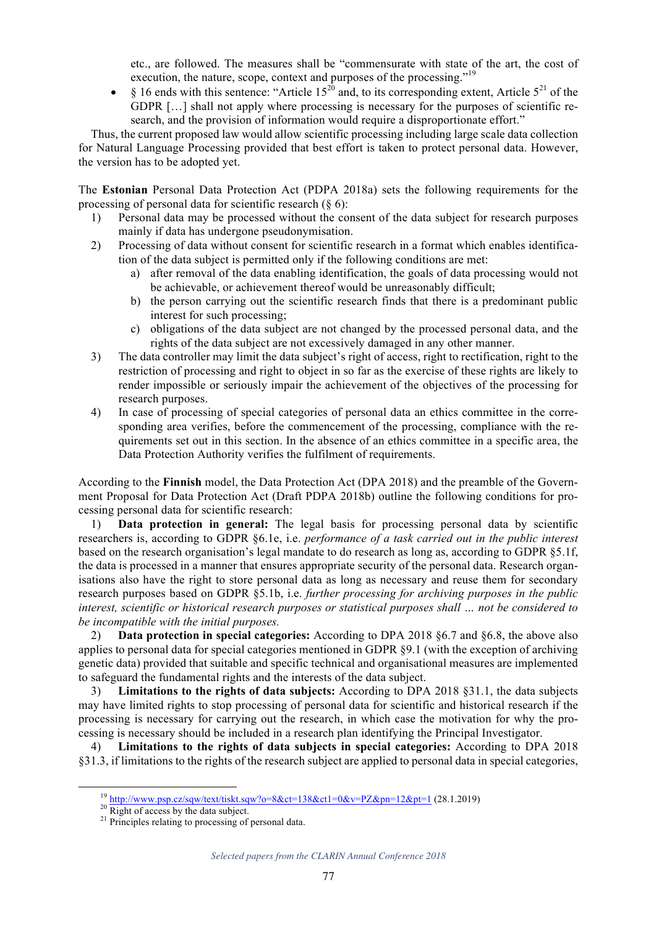etc., are followed. The measures shall be "commensurate with state of the art, the cost of execution, the nature, scope, context and purposes of the processing."<sup>19</sup>

• § 16 ends with this sentence: "Article  $15^{20}$  and, to its corresponding extent, Article  $5^{21}$  of the GDPR […] shall not apply where processing is necessary for the purposes of scientific research, and the provision of information would require a disproportionate effort."

Thus, the current proposed law would allow scientific processing including large scale data collection for Natural Language Processing provided that best effort is taken to protect personal data. However, the version has to be adopted yet.

The **Estonian** Personal Data Protection Act (PDPA 2018a) sets the following requirements for the processing of personal data for scientific research (§ 6):

- 1) Personal data may be processed without the consent of the data subject for research purposes mainly if data has undergone pseudonymisation.
- 2) Processing of data without consent for scientific research in a format which enables identification of the data subject is permitted only if the following conditions are met:
	- a) after removal of the data enabling identification, the goals of data processing would not be achievable, or achievement thereof would be unreasonably difficult;
	- b) the person carrying out the scientific research finds that there is a predominant public interest for such processing;
	- c) obligations of the data subject are not changed by the processed personal data, and the rights of the data subject are not excessively damaged in any other manner.
- 3) The data controller may limit the data subject's right of access, right to rectification, right to the restriction of processing and right to object in so far as the exercise of these rights are likely to render impossible or seriously impair the achievement of the objectives of the processing for research purposes.
- 4) In case of processing of special categories of personal data an ethics committee in the corresponding area verifies, before the commencement of the processing, compliance with the requirements set out in this section. In the absence of an ethics committee in a specific area, the Data Protection Authority verifies the fulfilment of requirements.

According to the **Finnish** model, the Data Protection Act (DPA 2018) and the preamble of the Government Proposal for Data Protection Act (Draft PDPA 2018b) outline the following conditions for processing personal data for scientific research:

1) **Data protection in general:** The legal basis for processing personal data by scientific researchers is, according to GDPR §6.1e, i.e. *performance of a task carried out in the public interest* based on the research organisation's legal mandate to do research as long as, according to GDPR §5.1f, the data is processed in a manner that ensures appropriate security of the personal data. Research organisations also have the right to store personal data as long as necessary and reuse them for secondary research purposes based on GDPR §5.1b, i.e. *further processing for archiving purposes in the public interest, scientific or historical research purposes or statistical purposes shall … not be considered to be incompatible with the initial purposes.*

2) **Data protection in special categories:** According to DPA 2018 §6.7 and §6.8, the above also applies to personal data for special categories mentioned in GDPR §9.1 (with the exception of archiving genetic data) provided that suitable and specific technical and organisational measures are implemented to safeguard the fundamental rights and the interests of the data subject.

3) **Limitations to the rights of data subjects:** According to DPA 2018 §31.1, the data subjects may have limited rights to stop processing of personal data for scientific and historical research if the processing is necessary for carrying out the research, in which case the motivation for why the processing is necessary should be included in a research plan identifying the Principal Investigator.

4) **Limitations to the rights of data subjects in special categories:** According to DPA 2018 §31.3, if limitations to the rights of the research subject are applied to personal data in special categories,

<sup>&</sup>lt;sup>19</sup> http://www.psp.cz/sqw/text/tiskt.sqw?o=8&ct=138&ct1=0&v=PZ&pn=12&pt=1 (28.1.2019)<sup>20</sup> Right of access by the data subject.<br><sup>21</sup> Principles relating to processing of personal data.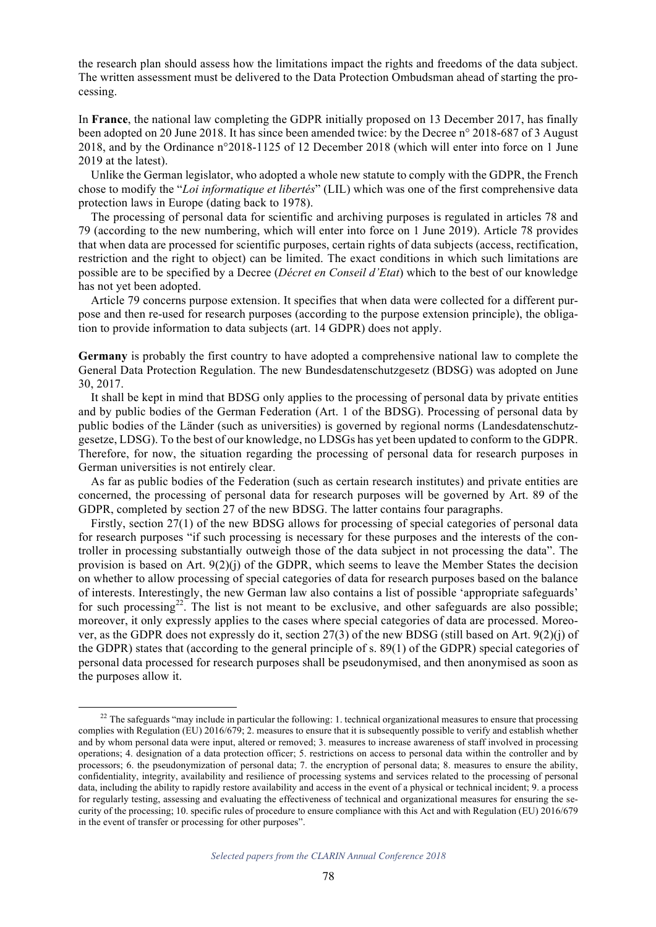the research plan should assess how the limitations impact the rights and freedoms of the data subject. The written assessment must be delivered to the Data Protection Ombudsman ahead of starting the processing.

In **France**, the national law completing the GDPR initially proposed on 13 December 2017, has finally been adopted on 20 June 2018. It has since been amended twice: by the Decree n° 2018-687 of 3 August 2018, and by the Ordinance n°2018-1125 of 12 December 2018 (which will enter into force on 1 June 2019 at the latest).

Unlike the German legislator, who adopted a whole new statute to comply with the GDPR, the French chose to modify the "*Loi informatique et libertés*" (LIL) which was one of the first comprehensive data protection laws in Europe (dating back to 1978).

The processing of personal data for scientific and archiving purposes is regulated in articles 78 and 79 (according to the new numbering, which will enter into force on 1 June 2019). Article 78 provides that when data are processed for scientific purposes, certain rights of data subjects (access, rectification, restriction and the right to object) can be limited. The exact conditions in which such limitations are possible are to be specified by a Decree (*Décret en Conseil d'Etat*) which to the best of our knowledge has not yet been adopted.

Article 79 concerns purpose extension. It specifies that when data were collected for a different purpose and then re-used for research purposes (according to the purpose extension principle), the obligation to provide information to data subjects (art. 14 GDPR) does not apply.

**Germany** is probably the first country to have adopted a comprehensive national law to complete the General Data Protection Regulation. The new Bundesdatenschutzgesetz (BDSG) was adopted on June 30, 2017.

It shall be kept in mind that BDSG only applies to the processing of personal data by private entities and by public bodies of the German Federation (Art. 1 of the BDSG). Processing of personal data by public bodies of the Länder (such as universities) is governed by regional norms (Landesdatenschutzgesetze, LDSG). To the best of our knowledge, no LDSGs has yet been updated to conform to the GDPR. Therefore, for now, the situation regarding the processing of personal data for research purposes in German universities is not entirely clear.

As far as public bodies of the Federation (such as certain research institutes) and private entities are concerned, the processing of personal data for research purposes will be governed by Art. 89 of the GDPR, completed by section 27 of the new BDSG. The latter contains four paragraphs.

Firstly, section 27(1) of the new BDSG allows for processing of special categories of personal data for research purposes "if such processing is necessary for these purposes and the interests of the controller in processing substantially outweigh those of the data subject in not processing the data". The provision is based on Art. 9(2)(j) of the GDPR, which seems to leave the Member States the decision on whether to allow processing of special categories of data for research purposes based on the balance of interests. Interestingly, the new German law also contains a list of possible 'appropriate safeguards' for such processing<sup>22</sup>. The list is not meant to be exclusive, and other safeguards are also possible; moreover, it only expressly applies to the cases where special categories of data are processed. Moreover, as the GDPR does not expressly do it, section 27(3) of the new BDSG (still based on Art. 9(2)(j) of the GDPR) states that (according to the general principle of s. 89(1) of the GDPR) special categories of personal data processed for research purposes shall be pseudonymised, and then anonymised as soon as the purposes allow it.

 $22$  The safeguards "may include in particular the following: 1. technical organizational measures to ensure that processing complies with Regulation (EU) 2016/679; 2. measures to ensure that it is subsequently possible to verify and establish whether and by whom personal data were input, altered or removed; 3. measures to increase awareness of staff involved in processing operations; 4. designation of a data protection officer; 5. restrictions on access to personal data within the controller and by processors; 6. the pseudonymization of personal data; 7. the encryption of personal data; 8. measures to ensure the ability, confidentiality, integrity, availability and resilience of processing systems and services related to the processing of personal data, including the ability to rapidly restore availability and access in the event of a physical or technical incident; 9. a process for regularly testing, assessing and evaluating the effectiveness of technical and organizational measures for ensuring the security of the processing; 10. specific rules of procedure to ensure compliance with this Act and with Regulation (EU) 2016/679 in the event of transfer or processing for other purposes".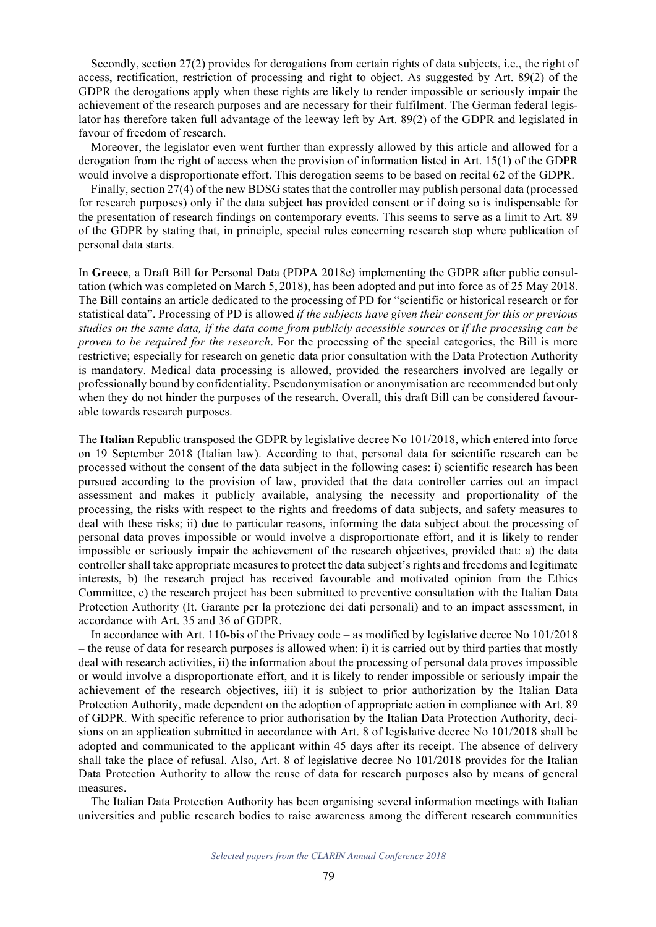Secondly, section 27(2) provides for derogations from certain rights of data subjects, i.e., the right of access, rectification, restriction of processing and right to object. As suggested by Art. 89(2) of the GDPR the derogations apply when these rights are likely to render impossible or seriously impair the achievement of the research purposes and are necessary for their fulfilment. The German federal legislator has therefore taken full advantage of the leeway left by Art. 89(2) of the GDPR and legislated in favour of freedom of research.

Moreover, the legislator even went further than expressly allowed by this article and allowed for a derogation from the right of access when the provision of information listed in Art. 15(1) of the GDPR would involve a disproportionate effort. This derogation seems to be based on recital 62 of the GDPR.

Finally, section 27(4) of the new BDSG states that the controller may publish personal data (processed for research purposes) only if the data subject has provided consent or if doing so is indispensable for the presentation of research findings on contemporary events. This seems to serve as a limit to Art. 89 of the GDPR by stating that, in principle, special rules concerning research stop where publication of personal data starts.

In **Greece**, a Draft Bill for Personal Data (PDPA 2018c) implementing the GDPR after public consultation (which was completed on March 5, 2018), has been adopted and put into force as of 25 May 2018. The Bill contains an article dedicated to the processing of PD for "scientific or historical research or for statistical data". Processing of PD is allowed *if the subjects have given their consent for this or previous studies on the same data, if the data come from publicly accessible sources* or *if the processing can be proven to be required for the research*. For the processing of the special categories, the Bill is more restrictive; especially for research on genetic data prior consultation with the Data Protection Authority is mandatory. Medical data processing is allowed, provided the researchers involved are legally or professionally bound by confidentiality. Pseudonymisation or anonymisation are recommended but only when they do not hinder the purposes of the research. Overall, this draft Bill can be considered favourable towards research purposes.

The **Italian** Republic transposed the GDPR by legislative decree No 101/2018, which entered into force on 19 September 2018 (Italian law). According to that, personal data for scientific research can be processed without the consent of the data subject in the following cases: i) scientific research has been pursued according to the provision of law, provided that the data controller carries out an impact assessment and makes it publicly available, analysing the necessity and proportionality of the processing, the risks with respect to the rights and freedoms of data subjects, and safety measures to deal with these risks; ii) due to particular reasons, informing the data subject about the processing of personal data proves impossible or would involve a disproportionate effort, and it is likely to render impossible or seriously impair the achievement of the research objectives, provided that: a) the data controller shall take appropriate measures to protect the data subject's rights and freedoms and legitimate interests, b) the research project has received favourable and motivated opinion from the Ethics Committee, c) the research project has been submitted to preventive consultation with the Italian Data Protection Authority (It. Garante per la protezione dei dati personali) and to an impact assessment, in accordance with Art. 35 and 36 of GDPR.

In accordance with Art. 110-bis of the Privacy code – as modified by legislative decree No 101/2018 – the reuse of data for research purposes is allowed when: i) it is carried out by third parties that mostly deal with research activities, ii) the information about the processing of personal data proves impossible or would involve a disproportionate effort, and it is likely to render impossible or seriously impair the achievement of the research objectives, iii) it is subject to prior authorization by the Italian Data Protection Authority, made dependent on the adoption of appropriate action in compliance with Art. 89 of GDPR. With specific reference to prior authorisation by the Italian Data Protection Authority, decisions on an application submitted in accordance with Art. 8 of legislative decree No 101/2018 shall be adopted and communicated to the applicant within 45 days after its receipt. The absence of delivery shall take the place of refusal. Also, Art. 8 of legislative decree No 101/2018 provides for the Italian Data Protection Authority to allow the reuse of data for research purposes also by means of general measures.

The Italian Data Protection Authority has been organising several information meetings with Italian universities and public research bodies to raise awareness among the different research communities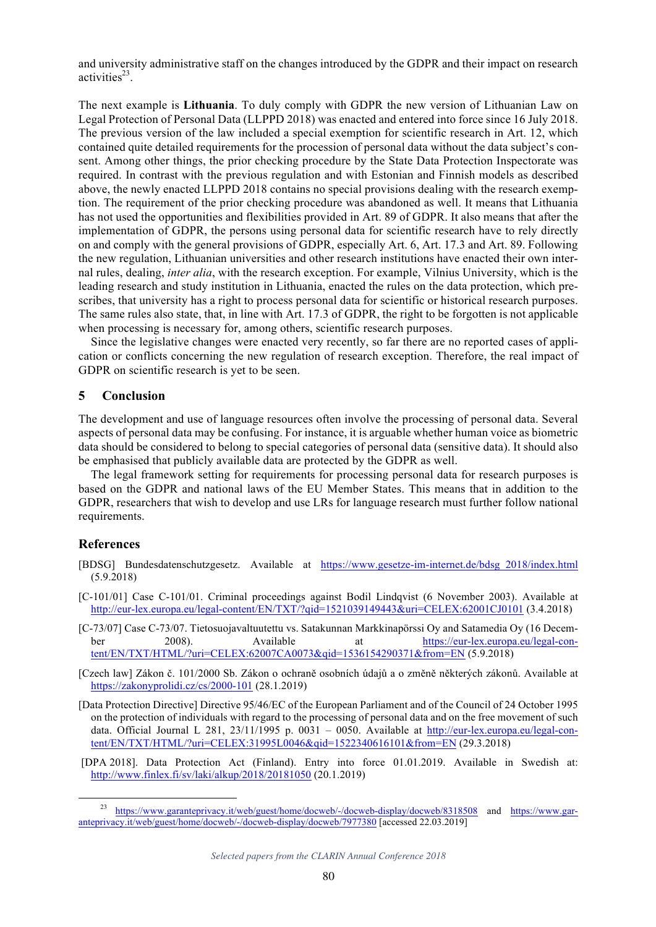and university administrative staff on the changes introduced by the GDPR and their impact on research activities $^{23}$ .

The next example is **Lithuania**. To duly comply with GDPR the new version of Lithuanian Law on Legal Protection of Personal Data (LLPPD 2018) was enacted and entered into force since 16 July 2018. The previous version of the law included a special exemption for scientific research in Art. 12, which contained quite detailed requirements for the procession of personal data without the data subject's consent. Among other things, the prior checking procedure by the State Data Protection Inspectorate was required. In contrast with the previous regulation and with Estonian and Finnish models as described above, the newly enacted LLPPD 2018 contains no special provisions dealing with the research exemption. The requirement of the prior checking procedure was abandoned as well. It means that Lithuania has not used the opportunities and flexibilities provided in Art. 89 of GDPR. It also means that after the implementation of GDPR, the persons using personal data for scientific research have to rely directly on and comply with the general provisions of GDPR, especially Art. 6, Art. 17.3 and Art. 89. Following the new regulation, Lithuanian universities and other research institutions have enacted their own internal rules, dealing, *inter alia*, with the research exception. For example, Vilnius University, which is the leading research and study institution in Lithuania, enacted the rules on the data protection, which prescribes, that university has a right to process personal data for scientific or historical research purposes. The same rules also state, that, in line with Art. 17.3 of GDPR, the right to be forgotten is not applicable when processing is necessary for, among others, scientific research purposes.

Since the legislative changes were enacted very recently, so far there are no reported cases of application or conflicts concerning the new regulation of research exception. Therefore, the real impact of GDPR on scientific research is yet to be seen.

# **5 Conclusion**

The development and use of language resources often involve the processing of personal data. Several aspects of personal data may be confusing. For instance, it is arguable whether human voice as biometric data should be considered to belong to special categories of personal data (sensitive data). It should also be emphasised that publicly available data are protected by the GDPR as well.

The legal framework setting for requirements for processing personal data for research purposes is based on the GDPR and national laws of the EU Member States. This means that in addition to the GDPR, researchers that wish to develop and use LRs for language research must further follow national requirements.

# **References**

- [BDSG] Bundesdatenschutzgesetz. Available at https://www.gesetze-im-internet.de/bdsg\_2018/index.html (5.9.2018)
- [C-101/01] Case C-101/01. Criminal proceedings against Bodil Lindqvist (6 November 2003). Available at http://eur-lex.europa.eu/legal-content/EN/TXT/?qid=1521039149443&uri=CELEX:62001CJ0101 (3.4.2018)
- [C-73/07] Case C-73/07. Tietosuojavaltuutettu vs. Satakunnan Markkinapörssi Oy and Satamedia Oy (16 December 2008). Available at https://eur-lex.europa.eu/legal-content/EN/TXT/HTML/?uri=CELEX:62007CA0073&qid=1536154290371&from=EN (5.9.2018)

[Czech law] Zákon č. 101/2000 Sb. Zákon o ochraně osobních údajů a o změně některých zákonů. Available at https://zakonyprolidi.cz/cs/2000-101 (28.1.2019)

- [Data Protection Directive] Directive 95/46/EC of the European Parliament and of the Council of 24 October 1995 on the protection of individuals with regard to the processing of personal data and on the free movement of such data. Official Journal L 281, 23/11/1995 p. 0031 – 0050. Available at http://eur-lex.europa.eu/legal-content/EN/TXT/HTML/?uri=CELEX:31995L0046&qid=1522340616101&from=EN (29.3.2018)
- [DPA 2018]. Data Protection Act (Finland). Entry into force 01.01.2019. Available in Swedish at: http://www.finlex.fi/sv/laki/alkup/2018/20181050 (20.1.2019)

https://www.garanteprivacy.it/web/guest/home/docweb/-/docweb-display/docweb/8318508 and https://www.garanteprivacy.it/web/guest/home/docweb/-/docweb-display/docweb/7977380 [accessed 22.03.2019]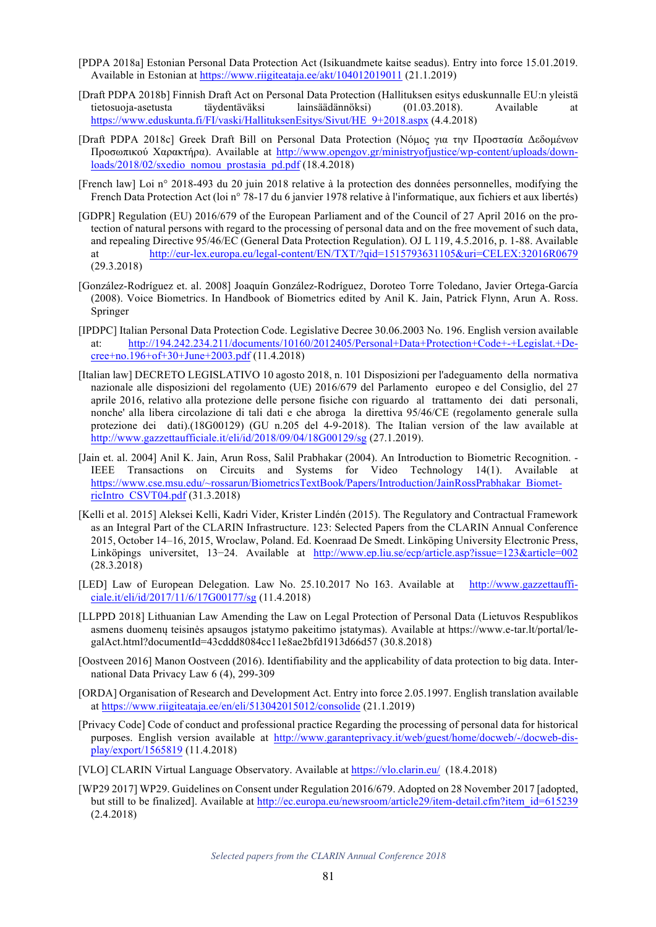- [PDPA 2018a] Estonian Personal Data Protection Act (Isikuandmete kaitse seadus). Entry into force 15.01.2019. Available in Estonian at https://www.riigiteataja.ee/akt/104012019011 (21.1.2019)
- [Draft PDPA 2018b] Finnish Draft Act on Personal Data Protection (Hallituksen esitys eduskunnalle EU:n yleistä tietosuoja-asetusta täydentäväksi lainsäädännöksi) (01.03.2018). Available at https://www.eduskunta.fi/FI/vaski/HallituksenEsitys/Sivut/HE\_9+2018.aspx (4.4.2018)
- [Draft PDPA 2018c] Greek Draft Bill on Personal Data Protection (Νόµος για την Προστασία Δεδοµένων Προσωπικού Χαρακτήρα). Available at http://www.opengov.gr/ministryofjustice/wp-content/uploads/downloads/2018/02/sxedio\_nomou\_prostasia\_pd.pdf (18.4.2018)
- [French law] Loi n° 2018-493 du 20 juin 2018 relative à la protection des données personnelles, modifying the French Data Protection Act (loi n° 78-17 du 6 janvier 1978 relative à l'informatique, aux fichiers et aux libertés)
- [GDPR] Regulation (EU) 2016/679 of the European Parliament and of the Council of 27 April 2016 on the protection of natural persons with regard to the processing of personal data and on the free movement of such data, and repealing Directive 95/46/EC (General Data Protection Regulation). OJ L 119, 4.5.2016, p. 1-88. Available at http://eur-lex.europa.eu/legal-content/EN/TXT/?qid=1515793631105&uri=CELEX:32016R0679 (29.3.2018)
- [González-Rodríguez et. al. 2008] Joaquín González-Rodríguez, Doroteo Torre Toledano, Javier Ortega-García (2008). Voice Biometrics. In Handbook of Biometrics edited by Anil K. Jain, Patrick Flynn, Arun A. Ross. Springer
- [IPDPC] Italian Personal Data Protection Code. Legislative Decree 30.06.2003 No. 196. English version available at: http://194.242.234.211/documents/10160/2012405/Personal+Data+Protection+Code+-+Legislat.+Decree+no.196+of+30+June+2003.pdf (11.4.2018)
- [Italian law] DECRETO LEGISLATIVO 10 agosto 2018, n. 101 Disposizioni per l'adeguamento della normativa nazionale alle disposizioni del regolamento (UE) 2016/679 del Parlamento europeo e del Consiglio, del 27 aprile 2016, relativo alla protezione delle persone fisiche con riguardo al trattamento dei dati personali, nonche' alla libera circolazione di tali dati e che abroga la direttiva 95/46/CE (regolamento generale sulla protezione dei dati).(18G00129) (GU n.205 del 4-9-2018). The Italian version of the law available at http://www.gazzettaufficiale.it/eli/id/2018/09/04/18G00129/sg (27.1.2019).
- [Jain et. al. 2004] Anil K. Jain, Arun Ross, Salil Prabhakar (2004). An Introduction to Biometric Recognition. IEEE Transactions on Circuits and Systems for Video Technology 14(1). Available at https://www.cse.msu.edu/~rossarun/BiometricsTextBook/Papers/Introduction/JainRossPrabhakar\_BiometricIntro\_CSVT04.pdf (31.3.2018)
- [Kelli et al. 2015] Aleksei Kelli, Kadri Vider, Krister Lindén (2015). The Regulatory and Contractual Framework as an Integral Part of the CLARIN Infrastructure. 123: Selected Papers from the CLARIN Annual Conference 2015, October 14–16, 2015, Wroclaw, Poland. Ed. Koenraad De Smedt. Linköping University Electronic Press, Linköpings universitet, 13−24. Available at http://www.ep.liu.se/ecp/article.asp?issue=123&article=002 (28.3.2018)
- [LED] Law of European Delegation. Law No. 25.10.2017 No 163. Available at http://www.gazzettaufficiale.it/eli/id/2017/11/6/17G00177/sg (11.4.2018)
- [LLPPD 2018] Lithuanian Law Amending the Law on Legal Protection of Personal Data (Lietuvos Respublikos asmens duomenų teisinės apsaugos įstatymo pakeitimo įstatymas). Available at https://www.e-tar.lt/portal/legalAct.html?documentId=43cddd8084cc11e8ae2bfd1913d66d57 (30.8.2018)
- [Oostveen 2016] Manon Oostveen (2016). Identifiability and the applicability of data protection to big data. International Data Privacy Law 6 (4), 299-309
- [ORDA] Organisation of Research and Development Act. Entry into force 2.05.1997. English translation available at https://www.riigiteataja.ee/en/eli/513042015012/consolide (21.1.2019)
- [Privacy Code] Code of conduct and professional practice Regarding the processing of personal data for historical purposes. English version available at http://www.garanteprivacy.it/web/guest/home/docweb/-/docweb-display/export/1565819 (11.4.2018)
- [VLO] CLARIN Virtual Language Observatory. Available at https://vlo.clarin.eu/ (18.4.2018)
- [WP29 2017] WP29. Guidelines on Consent under Regulation 2016/679. Adopted on 28 November 2017 [adopted, but still to be finalized]. Available at http://ec.europa.eu/newsroom/article29/item-detail.cfm?item\_id=615239 (2.4.2018)